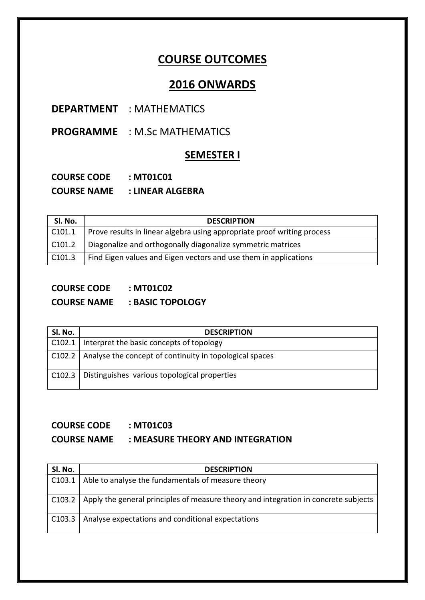# **COURSE OUTCOMES**

# **2016 ONWARDS**

### **DEPARTMENT** : MATHEMATICS

**PROGRAMME** : M.Sc MATHEMATICS

### **SEMESTER I**

| <b>COURSE CODE</b> | : MT01C01        |
|--------------------|------------------|
| <b>COURSE NAME</b> | : LINEAR ALGEBRA |

| SI. No.            | <b>DESCRIPTION</b>                                                      |
|--------------------|-------------------------------------------------------------------------|
| C <sub>101.1</sub> | Prove results in linear algebra using appropriate proof writing process |
| C <sub>101.2</sub> | Diagonalize and orthogonally diagonalize symmetric matrices             |
| C <sub>101.3</sub> | Find Eigen values and Eigen vectors and use them in applications        |

### **COURSE CODE : MT01C02**

**COURSE NAME : BASIC TOPOLOGY**

| SI. No. | <b>DESCRIPTION</b>                                               |
|---------|------------------------------------------------------------------|
|         | C102.1   Interpret the basic concepts of topology                |
|         | C102.2   Analyse the concept of continuity in topological spaces |
|         | C102.3   Distinguishes various topological properties            |

#### **COURSE CODE : MT01C03**

#### **COURSE NAME : MEASURE THEORY AND INTEGRATION**

| SI. No.       | <b>DESCRIPTION</b>                                                                           |
|---------------|----------------------------------------------------------------------------------------------|
| C103.1        | Able to analyse the fundamentals of measure theory                                           |
|               |                                                                                              |
|               | C103.2   Apply the general principles of measure theory and integration in concrete subjects |
| $\mid$ C103.3 | Analyse expectations and conditional expectations                                            |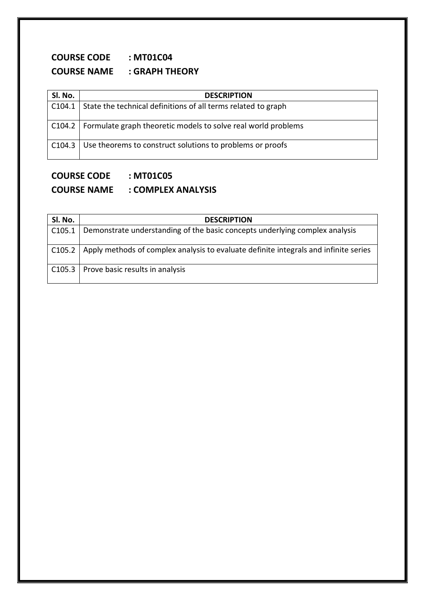# **COURSE CODE : MT01C04 COURSE NAME : GRAPH THEORY**

| Sl. No.        | <b>DESCRIPTION</b>                                                     |
|----------------|------------------------------------------------------------------------|
| $ $ C104.1 $ $ | State the technical definitions of all terms related to graph          |
|                | C104.2   Formulate graph theoretic models to solve real world problems |
|                | C104.3   Use theorems to construct solutions to problems or proofs     |

### **COURSE CODE : MT01C05**

# **COURSE NAME : COMPLEX ANALYSIS**

| SI. No. | <b>DESCRIPTION</b>                                                                            |
|---------|-----------------------------------------------------------------------------------------------|
| C105.1  | Demonstrate understanding of the basic concepts underlying complex analysis                   |
|         | C105.2   Apply methods of complex analysis to evaluate definite integrals and infinite series |
|         | C105.3   Prove basic results in analysis                                                      |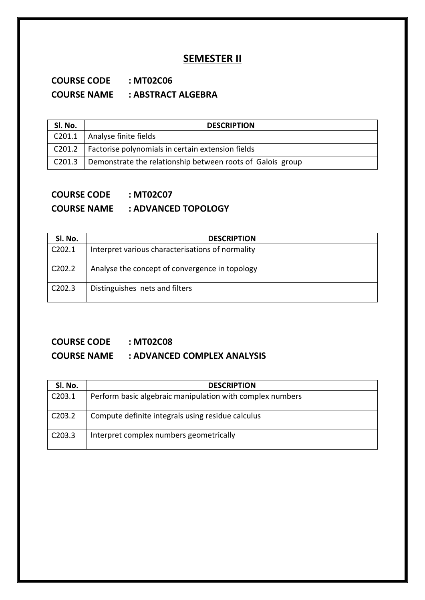### **SEMESTER II**

### **COURSE CODE : MT02C06 COURSE NAME : ABSTRACT ALGEBRA**

| Sl. No.            | <b>DESCRIPTION</b>                                         |
|--------------------|------------------------------------------------------------|
| C201.1             | Analyse finite fields                                      |
| C201.2             | Factorise polynomials in certain extension fields          |
| C <sub>201.3</sub> | Demonstrate the relationship between roots of Galois group |

# **COURSE CODE : MT02C07**

### **COURSE NAME : ADVANCED TOPOLOGY**

| SI. No.             | <b>DESCRIPTION</b>                               |
|---------------------|--------------------------------------------------|
| C202.1              | Interpret various characterisations of normality |
| C <sub>2</sub> 02.2 | Analyse the concept of convergence in topology   |
| C202.3              | Distinguishes nets and filters                   |

# **COURSE CODE : MT02C08**

### **COURSE NAME : ADVANCED COMPLEX ANALYSIS**

| Sl. No.            | <b>DESCRIPTION</b>                                        |
|--------------------|-----------------------------------------------------------|
| C203.1             | Perform basic algebraic manipulation with complex numbers |
| C <sub>203.2</sub> | Compute definite integrals using residue calculus         |
| C <sub>203.3</sub> | Interpret complex numbers geometrically                   |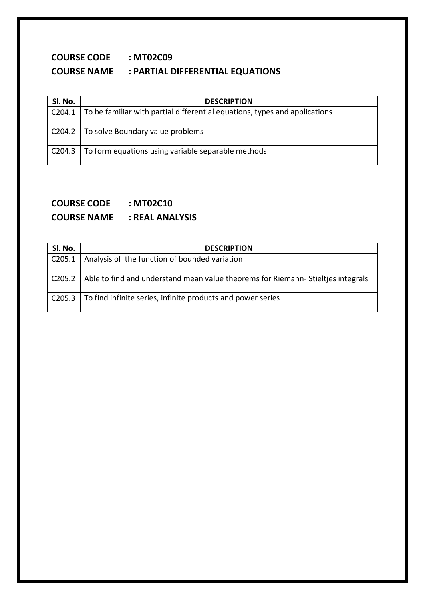# **COURSE CODE : MT02C09 COURSE NAME : PARTIAL DIFFERENTIAL EQUATIONS**

| SI. No. | <b>DESCRIPTION</b>                                                                        |
|---------|-------------------------------------------------------------------------------------------|
|         | C204.1 $\vert$ To be familiar with partial differential equations, types and applications |
|         | C204.2   To solve Boundary value problems                                                 |
|         | C204.3   To form equations using variable separable methods                               |

### **COURSE CODE : MT02C10 COURSE NAME : REAL ANALYSIS**

| SI. No. | <b>DESCRIPTION</b>                                                              |
|---------|---------------------------------------------------------------------------------|
| C205.1  | Analysis of the function of bounded variation                                   |
| C205.2  | Able to find and understand mean value theorems for Riemann-Stieltjes integrals |
|         | C205.3   To find infinite series, infinite products and power series            |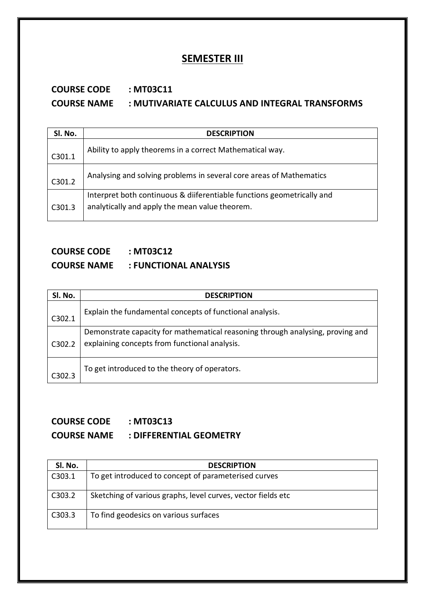### **SEMESTER III**

# **COURSE CODE : MT03C11 COURSE NAME : MUTIVARIATE CALCULUS AND INTEGRAL TRANSFORMS**

| Sl. No. | <b>DESCRIPTION</b>                                                                                                       |
|---------|--------------------------------------------------------------------------------------------------------------------------|
| C301.1  | Ability to apply theorems in a correct Mathematical way.                                                                 |
| C301.2  | Analysing and solving problems in several core areas of Mathematics                                                      |
| C301.3  | Interpret both continuous & diiferentiable functions geometrically and<br>analytically and apply the mean value theorem. |
|         |                                                                                                                          |

### **COURSE CODE : MT03C12 COURSE NAME : FUNCTIONAL ANALYSIS**

| SI. No. | <b>DESCRIPTION</b>                                                                                                              |
|---------|---------------------------------------------------------------------------------------------------------------------------------|
| C302.1  | Explain the fundamental concepts of functional analysis.                                                                        |
| C302.2  | Demonstrate capacity for mathematical reasoning through analysing, proving and<br>explaining concepts from functional analysis. |
| C302.3  | To get introduced to the theory of operators.                                                                                   |

# **COURSE CODE : MT03C13 COURSE NAME : DIFFERENTIAL GEOMETRY**

| SI. No. | <b>DESCRIPTION</b>                                           |
|---------|--------------------------------------------------------------|
| C303.1  | To get introduced to concept of parameterised curves         |
| C303.2  | Sketching of various graphs, level curves, vector fields etc |
| C303.3  | To find geodesics on various surfaces                        |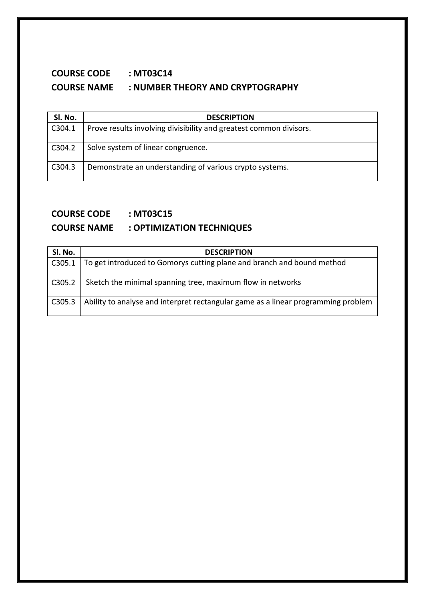# **COURSE CODE : MT03C14 COURSE NAME : NUMBER THEORY AND CRYPTOGRAPHY**

| SI. No. | <b>DESCRIPTION</b>                                                 |
|---------|--------------------------------------------------------------------|
| C304.1  | Prove results involving divisibility and greatest common divisors. |
| C304.2  | Solve system of linear congruence.                                 |
| C304.3  | Demonstrate an understanding of various crypto systems.            |

### **COURSE CODE : MT03C15**

## **COURSE NAME : OPTIMIZATION TECHNIQUES**

| Sl. No. | <b>DESCRIPTION</b>                                                                |
|---------|-----------------------------------------------------------------------------------|
| C305.1  | To get introduced to Gomorys cutting plane and branch and bound method            |
| C305.2  | Sketch the minimal spanning tree, maximum flow in networks                        |
| C305.3  | Ability to analyse and interpret rectangular game as a linear programming problem |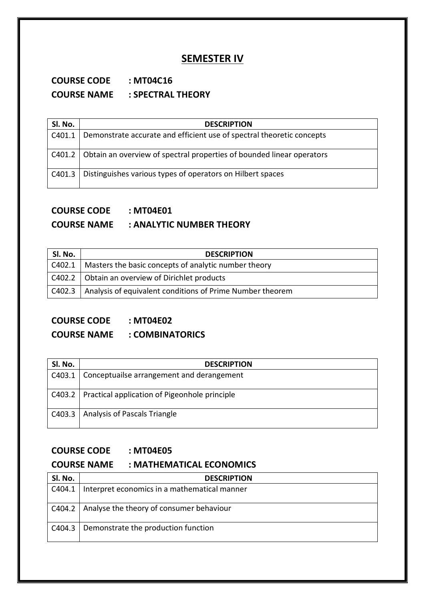### **SEMESTER IV**

### **COURSE CODE : MT04C16 COURSE NAME : SPECTRAL THEORY**

| SI. No. | <b>DESCRIPTION</b>                                                             |
|---------|--------------------------------------------------------------------------------|
| C401.1  | Demonstrate accurate and efficient use of spectral theoretic concepts          |
|         | C401.2   Obtain an overview of spectral properties of bounded linear operators |
|         | C401.3   Distinguishes various types of operators on Hilbert spaces            |

## **COURSE CODE : MT04E01**

#### **COURSE NAME : ANALYTIC NUMBER THEORY**

| Sl. No. | <b>DESCRIPTION</b>                                                 |
|---------|--------------------------------------------------------------------|
|         | C402.1   Masters the basic concepts of analytic number theory      |
|         | C402.2   Obtain an overview of Dirichlet products                  |
|         | C402.3   Analysis of equivalent conditions of Prime Number theorem |

### **COURSE CODE : MT04E02**

### **COURSE NAME : COMBINATORICS**

| Sl. No. | <b>DESCRIPTION</b>                                     |
|---------|--------------------------------------------------------|
|         | C403.1   Conceptuailse arrangement and derangement     |
|         | C403.2   Practical application of Pigeonhole principle |
|         | C403.3   Analysis of Pascals Triangle                  |

## **COURSE CODE : MT04E05**

#### **COURSE NAME : MATHEMATICAL ECONOMICS**

| SI. No. | <b>DESCRIPTION</b>                                    |
|---------|-------------------------------------------------------|
|         | C404.1   Interpret economics in a mathematical manner |
|         | C404.2   Analyse the theory of consumer behaviour     |
|         | C404.3   Demonstrate the production function          |